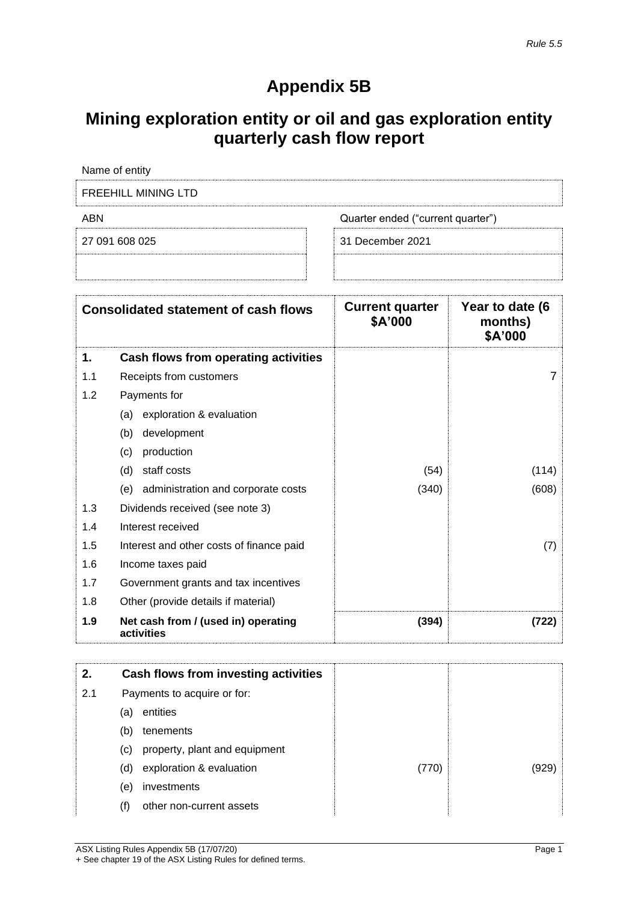## **Appendix 5B**

## **Mining exploration entity or oil and gas exploration entity quarterly cash flow report**

|            | Name of entity                                    |                                   |                                       |
|------------|---------------------------------------------------|-----------------------------------|---------------------------------------|
|            | <b>FREEHILL MINING LTD</b>                        |                                   |                                       |
| <b>ABN</b> |                                                   | Quarter ended ("current quarter") |                                       |
|            | 27 091 608 025                                    | 31 December 2021                  |                                       |
|            |                                                   |                                   |                                       |
|            | <b>Consolidated statement of cash flows</b>       | <b>Current quarter</b><br>\$A'000 | Year to date (6<br>months)<br>\$A'000 |
| 1.         | Cash flows from operating activities              |                                   |                                       |
| 1.1        | Receipts from customers                           |                                   | 7                                     |
| 1.2        | Payments for                                      |                                   |                                       |
|            | exploration & evaluation<br>(a)                   |                                   |                                       |
|            | development<br>(b)                                |                                   |                                       |
|            | production<br>(c)                                 |                                   |                                       |
|            | staff costs<br>(d)                                | (54)                              | (114)                                 |
|            | (e) administration and corporate costs            | (340)                             | (608)                                 |
| 1.3        | Dividends received (see note 3)                   |                                   |                                       |
| 1.4        | Interest received                                 |                                   |                                       |
| 1.5        | Interest and other costs of finance paid          |                                   | (7)                                   |
| 1.6        | Income taxes paid                                 |                                   |                                       |
| 1.7        | Government grants and tax incentives              |                                   |                                       |
| 1.8        | Other (provide details if material)               |                                   |                                       |
| 1.9        | Net cash from / (used in) operating<br>activities | (394)                             | (722)                                 |

| 2.  |     | Cash flows from investing activities |       |  |
|-----|-----|--------------------------------------|-------|--|
| 2.1 |     | Payments to acquire or for:          |       |  |
|     | (a) | entities                             |       |  |
|     | (b) | tenements                            |       |  |
|     | (C) | property, plant and equipment        |       |  |
|     | (d) | exploration & evaluation             | (770) |  |
|     | (e) | investments                          |       |  |
|     |     | other non-current assets             |       |  |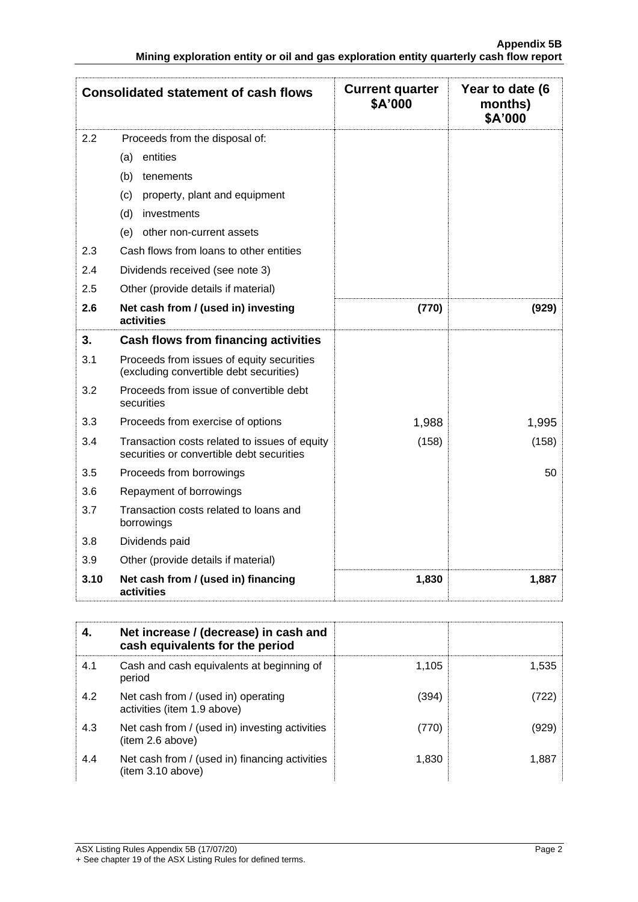| <b>Consolidated statement of cash flows</b> |                                                                                            | <b>Current quarter</b><br>\$A'000 | Year to date (6<br>months)<br>\$A'000 |
|---------------------------------------------|--------------------------------------------------------------------------------------------|-----------------------------------|---------------------------------------|
| 2.2                                         | Proceeds from the disposal of:                                                             |                                   |                                       |
|                                             | (a) entities                                                                               |                                   |                                       |
|                                             | (b)<br>tenements                                                                           |                                   |                                       |
|                                             | (c)<br>property, plant and equipment                                                       |                                   |                                       |
|                                             | (d)<br>investments                                                                         |                                   |                                       |
|                                             | (e)<br>other non-current assets                                                            |                                   |                                       |
| 2.3                                         | Cash flows from loans to other entities                                                    |                                   |                                       |
| 2.4                                         | Dividends received (see note 3)                                                            |                                   |                                       |
| 2.5                                         | Other (provide details if material)                                                        |                                   |                                       |
| 2.6                                         | Net cash from / (used in) investing<br>activities                                          | (770)                             | (929)                                 |
| 3.                                          | Cash flows from financing activities                                                       |                                   |                                       |
| 3.1                                         | Proceeds from issues of equity securities<br>(excluding convertible debt securities)       |                                   |                                       |
| 3.2                                         | Proceeds from issue of convertible debt<br>securities                                      |                                   |                                       |
| 3.3                                         | Proceeds from exercise of options                                                          | 1,988                             | 1,995                                 |
| 3.4                                         | Transaction costs related to issues of equity<br>securities or convertible debt securities | (158)                             | (158)                                 |
| 3.5                                         | Proceeds from borrowings                                                                   |                                   | 50                                    |
| 3.6                                         | Repayment of borrowings                                                                    |                                   |                                       |
| 3.7                                         | Transaction costs related to loans and<br>borrowings                                       |                                   |                                       |
| 3.8                                         | Dividends paid                                                                             |                                   |                                       |
| 3.9                                         | Other (provide details if material)                                                        |                                   |                                       |
| 3.10                                        | Net cash from / (used in) financing<br>activities                                          | 1,830                             | 1,887                                 |

| 4.  | Net increase / (decrease) in cash and<br>cash equivalents for the period |       |       |
|-----|--------------------------------------------------------------------------|-------|-------|
| 4.1 | Cash and cash equivalents at beginning of<br>period                      | 1.105 | 1.535 |
| 4.2 | Net cash from / (used in) operating<br>activities (item 1.9 above)       | (394) | (722) |
| 4.3 | Net cash from / (used in) investing activities<br>(item 2.6 above)       | (770) | (929) |
| 4.4 | Net cash from / (used in) financing activities<br>(item 3.10 above)      | 1,830 | 1.887 |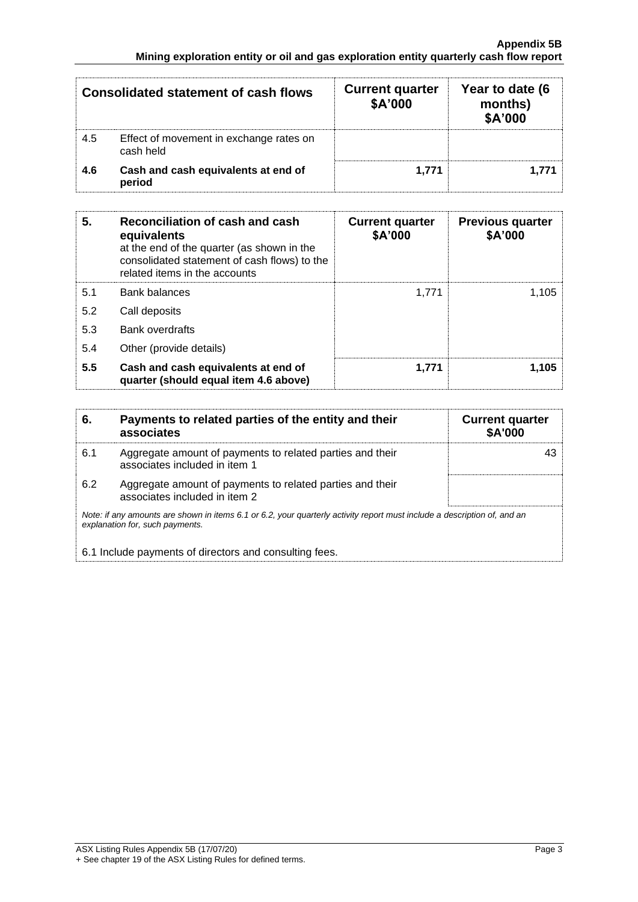| Consolidated statement of cash flows |                                                      | <b>Current quarter</b><br>\$A'000 | Year to date (6<br>months)<br>\$A'000 |
|--------------------------------------|------------------------------------------------------|-----------------------------------|---------------------------------------|
| 4.5                                  | Effect of movement in exchange rates on<br>cash held |                                   |                                       |
| 4.6                                  | Cash and cash equivalents at end of<br>period        | 1.771                             | 1.771                                 |

| 5.  | Reconciliation of cash and cash<br>equivalents<br>at the end of the quarter (as shown in the<br>consolidated statement of cash flows) to the<br>related items in the accounts | <b>Current quarter</b><br>\$A'000 | <b>Previous quarter</b><br>\$A'000 |
|-----|-------------------------------------------------------------------------------------------------------------------------------------------------------------------------------|-----------------------------------|------------------------------------|
| 5.1 | <b>Bank balances</b>                                                                                                                                                          | 1.771                             | 1,105                              |
| 5.2 | Call deposits                                                                                                                                                                 |                                   |                                    |
| 5.3 | <b>Bank overdrafts</b>                                                                                                                                                        |                                   |                                    |
| 5.4 | Other (provide details)                                                                                                                                                       |                                   |                                    |
| 5.5 | Cash and cash equivalents at end of<br>quarter (should equal item 4.6 above)                                                                                                  | 1.771                             | 1.105                              |

| 6.                                                                                                                                                          | Payments to related parties of the entity and their<br>associates                          | <b>Current quarter</b><br><b>\$A'000</b> |
|-------------------------------------------------------------------------------------------------------------------------------------------------------------|--------------------------------------------------------------------------------------------|------------------------------------------|
| 6.1                                                                                                                                                         | Aggregate amount of payments to related parties and their<br>associates included in item 1 | 43                                       |
| 6.2                                                                                                                                                         | Aggregate amount of payments to related parties and their<br>associates included in item 2 |                                          |
| Note: if any amounts are shown in items 6.1 or 6.2, your quarterly activity report must include a description of, and an<br>explanation for, such payments. |                                                                                            |                                          |
| 6.1 Include payments of directors and consulting fees.                                                                                                      |                                                                                            |                                          |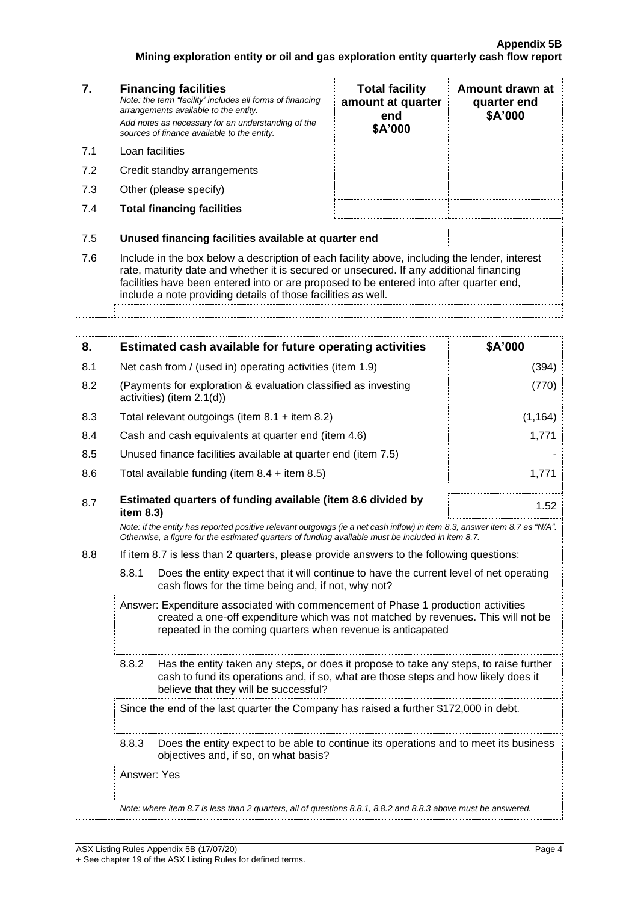| 7.  | <b>Financing facilities</b><br>Note: the term "facility' includes all forms of financing<br>arrangements available to the entity.<br>Add notes as necessary for an understanding of the<br>sources of finance available to the entity.                                                                                                               | <b>Total facility</b><br>amount at quarter<br>end<br>\$A'000 | Amount drawn at<br>quarter end<br>\$A'000 |
|-----|------------------------------------------------------------------------------------------------------------------------------------------------------------------------------------------------------------------------------------------------------------------------------------------------------------------------------------------------------|--------------------------------------------------------------|-------------------------------------------|
| 7.1 | Loan facilities                                                                                                                                                                                                                                                                                                                                      |                                                              |                                           |
| 7.2 | Credit standby arrangements                                                                                                                                                                                                                                                                                                                          |                                                              |                                           |
| 7.3 | Other (please specify)                                                                                                                                                                                                                                                                                                                               |                                                              |                                           |
| 7.4 | <b>Total financing facilities</b>                                                                                                                                                                                                                                                                                                                    |                                                              |                                           |
| 7.5 | Unused financing facilities available at quarter end                                                                                                                                                                                                                                                                                                 |                                                              |                                           |
| 7.6 | Include in the box below a description of each facility above, including the lender, interest<br>rate, maturity date and whether it is secured or unsecured. If any additional financing<br>facilities have been entered into or are proposed to be entered into after quarter end,<br>include a note providing details of those facilities as well. |                                                              |                                           |
|     |                                                                                                                                                                                                                                                                                                                                                      |                                                              |                                           |

| 8.                                                                                                                                                                                                                                                                                                                                                                                                                                                                       | Estimated cash available for future operating activities                                                                                                                                                                                                                                                                                                         | \$A'000  |
|--------------------------------------------------------------------------------------------------------------------------------------------------------------------------------------------------------------------------------------------------------------------------------------------------------------------------------------------------------------------------------------------------------------------------------------------------------------------------|------------------------------------------------------------------------------------------------------------------------------------------------------------------------------------------------------------------------------------------------------------------------------------------------------------------------------------------------------------------|----------|
| 8.1                                                                                                                                                                                                                                                                                                                                                                                                                                                                      | Net cash from / (used in) operating activities (item 1.9)                                                                                                                                                                                                                                                                                                        | (394)    |
| 8.2                                                                                                                                                                                                                                                                                                                                                                                                                                                                      | (Payments for exploration & evaluation classified as investing<br>activities) (item 2.1(d))                                                                                                                                                                                                                                                                      | (770)    |
| 8.3                                                                                                                                                                                                                                                                                                                                                                                                                                                                      | Total relevant outgoings (item $8.1 +$ item $8.2$ )                                                                                                                                                                                                                                                                                                              | (1, 164) |
| 8.4                                                                                                                                                                                                                                                                                                                                                                                                                                                                      | Cash and cash equivalents at quarter end (item 4.6)                                                                                                                                                                                                                                                                                                              | 1,771    |
| 8.5                                                                                                                                                                                                                                                                                                                                                                                                                                                                      | Unused finance facilities available at quarter end (item 7.5)                                                                                                                                                                                                                                                                                                    |          |
| 8.6                                                                                                                                                                                                                                                                                                                                                                                                                                                                      | Total available funding (item $8.4 +$ item $8.5$ )                                                                                                                                                                                                                                                                                                               | 1,771    |
| 8.7                                                                                                                                                                                                                                                                                                                                                                                                                                                                      | Estimated quarters of funding available (item 8.6 divided by<br>item 8.3)                                                                                                                                                                                                                                                                                        | 1.52     |
|                                                                                                                                                                                                                                                                                                                                                                                                                                                                          | Note: if the entity has reported positive relevant outgoings (ie a net cash inflow) in item 8.3, answer item 8.7 as "N/A".<br>Otherwise, a figure for the estimated quarters of funding available must be included in item 8.7.                                                                                                                                  |          |
| 8.8                                                                                                                                                                                                                                                                                                                                                                                                                                                                      | If item 8.7 is less than 2 quarters, please provide answers to the following questions:                                                                                                                                                                                                                                                                          |          |
|                                                                                                                                                                                                                                                                                                                                                                                                                                                                          | 8.8.1<br>Does the entity expect that it will continue to have the current level of net operating<br>cash flows for the time being and, if not, why not?                                                                                                                                                                                                          |          |
| Answer: Expenditure associated with commencement of Phase 1 production activities<br>created a one-off expenditure which was not matched by revenues. This will not be<br>repeated in the coming quarters when revenue is anticapated<br>8.8.2<br>Has the entity taken any steps, or does it propose to take any steps, to raise further<br>cash to fund its operations and, if so, what are those steps and how likely does it<br>believe that they will be successful? |                                                                                                                                                                                                                                                                                                                                                                  |          |
|                                                                                                                                                                                                                                                                                                                                                                                                                                                                          |                                                                                                                                                                                                                                                                                                                                                                  |          |
|                                                                                                                                                                                                                                                                                                                                                                                                                                                                          | Since the end of the last quarter the Company has raised a further \$172,000 in debt.<br>8.8.3<br>Does the entity expect to be able to continue its operations and to meet its business<br>objectives and, if so, on what basis?<br>Answer: Yes<br>Note: where item 8.7 is less than 2 quarters, all of questions 8.8.1, 8.8.2 and 8.8.3 above must be answered. |          |
|                                                                                                                                                                                                                                                                                                                                                                                                                                                                          |                                                                                                                                                                                                                                                                                                                                                                  |          |
|                                                                                                                                                                                                                                                                                                                                                                                                                                                                          |                                                                                                                                                                                                                                                                                                                                                                  |          |
|                                                                                                                                                                                                                                                                                                                                                                                                                                                                          |                                                                                                                                                                                                                                                                                                                                                                  |          |